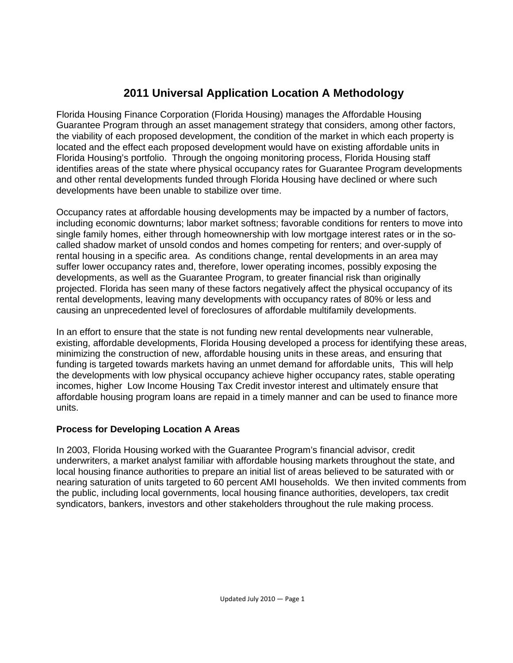## **2011 Universal Application Location A Methodology**

Florida Housing Finance Corporation (Florida Housing) manages the Affordable Housing Guarantee Program through an asset management strategy that considers, among other factors, the viability of each proposed development, the condition of the market in which each property is located and the effect each proposed development would have on existing affordable units in Florida Housing's portfolio. Through the ongoing monitoring process, Florida Housing staff identifies areas of the state where physical occupancy rates for Guarantee Program developments and other rental developments funded through Florida Housing have declined or where such developments have been unable to stabilize over time.

Occupancy rates at affordable housing developments may be impacted by a number of factors, including economic downturns; labor market softness; favorable conditions for renters to move into single family homes, either through homeownership with low mortgage interest rates or in the socalled shadow market of unsold condos and homes competing for renters; and over-supply of rental housing in a specific area. As conditions change, rental developments in an area may suffer lower occupancy rates and, therefore, lower operating incomes, possibly exposing the developments, as well as the Guarantee Program, to greater financial risk than originally projected. Florida has seen many of these factors negatively affect the physical occupancy of its rental developments, leaving many developments with occupancy rates of 80% or less and causing an unprecedented level of foreclosures of affordable multifamily developments.

In an effort to ensure that the state is not funding new rental developments near vulnerable, existing, affordable developments, Florida Housing developed a process for identifying these areas, minimizing the construction of new, affordable housing units in these areas, and ensuring that funding is targeted towards markets having an unmet demand for affordable units, This will help the developments with low physical occupancy achieve higher occupancy rates, stable operating incomes, higher Low Income Housing Tax Credit investor interest and ultimately ensure that affordable housing program loans are repaid in a timely manner and can be used to finance more units.

## **Process for Developing Location A Areas**

In 2003, Florida Housing worked with the Guarantee Program's financial advisor, credit underwriters, a market analyst familiar with affordable housing markets throughout the state, and local housing finance authorities to prepare an initial list of areas believed to be saturated with or nearing saturation of units targeted to 60 percent AMI households. We then invited comments from the public, including local governments, local housing finance authorities, developers, tax credit syndicators, bankers, investors and other stakeholders throughout the rule making process.